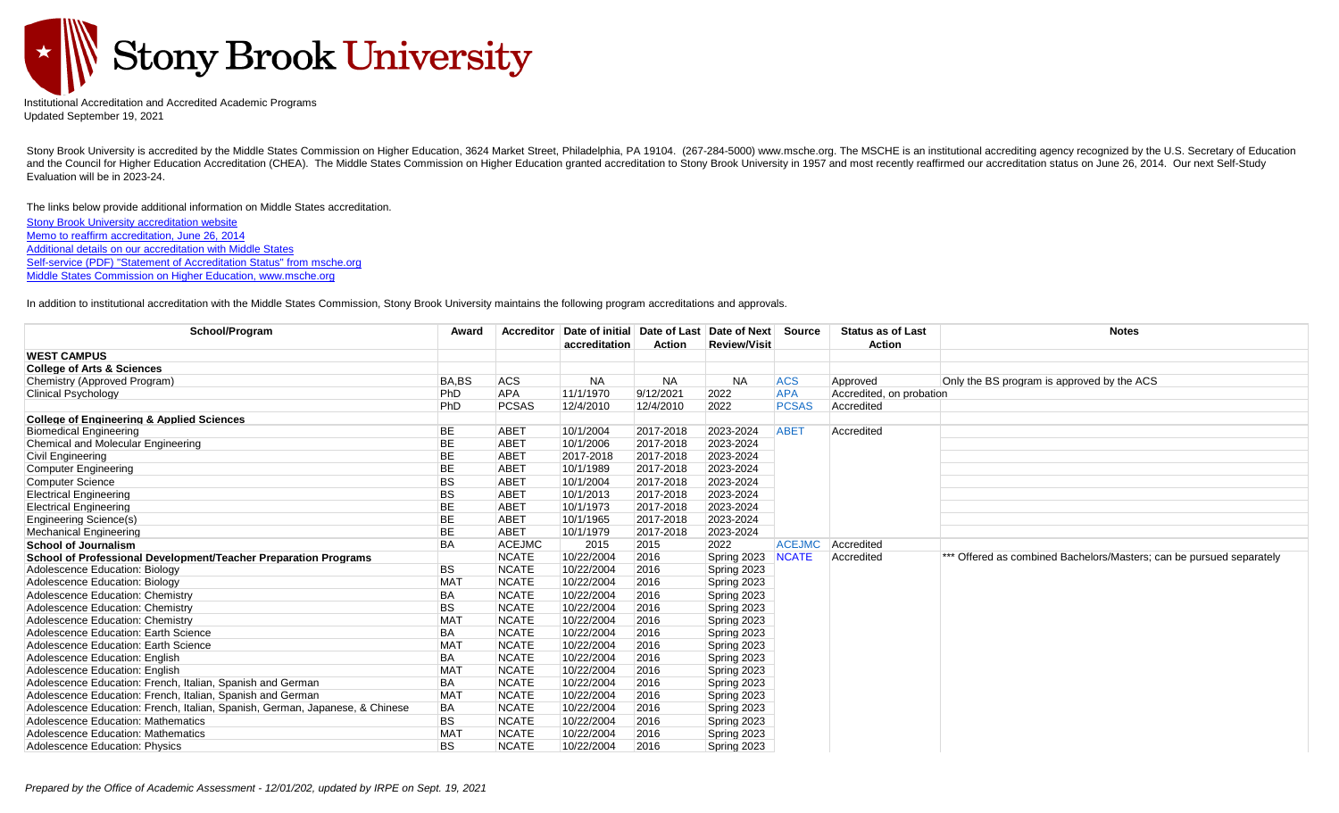

Institutional Accreditation and Accredited Academic Programs Updated September 19, 2021

Stony Brook University is accredited by the Middle States Commission on Higher Education, 3624 Market Street, Philadelphia, PA 19104. (267-284-5000) www.msche.org. The MSCHE is an institutional accrediting agency recognize and the Council for Higher Education Accreditation (CHEA). The Middle States Commission on Higher Education granted accreditation to Stony Brook University in 1957 and most recently reaffirmed our accreditation status on J Evaluation will be in 2023-24.

The links below provide additional information on Middle States accreditation. [Stony Brook University accreditation website](https://www.stonybrook.edu/commcms/middlestates/index.php) [Memo to reaffirm accreditation, June 26, 2014](https://www.stonybrook.edu/commcms/middlestates/_pdf/MIDDLE%20STATES%20ACCREDITATION%202014%2006%2026%20no%20attachments.pdf) [Additional details on our accreditation with Middle States](https://www.msche.org/institution/0396/) [Self-service \(PDF\) "Statement of Accreditation Status" from msche.org](https://www.msche.org/institution/0396/?pss=true) [Middle States Commission on Higher Education, www.msche.org](http://www.msche.org/)

In addition to institutional accreditation with the Middle States Commission, Stony Brook University maintains the following program accreditations and approvals.

| School/Program                                                               | Award           | <b>Accreditor</b> | Date of initial Date of Last Date of Next<br>accreditation | <b>Action</b> | <b>Review/Visit</b> | Source        | <b>Status as of Last</b><br><b>Action</b> | <b>Notes</b>                                                         |
|------------------------------------------------------------------------------|-----------------|-------------------|------------------------------------------------------------|---------------|---------------------|---------------|-------------------------------------------|----------------------------------------------------------------------|
| <b>WEST CAMPUS</b>                                                           |                 |                   |                                                            |               |                     |               |                                           |                                                                      |
| <b>College of Arts &amp; Sciences</b>                                        |                 |                   |                                                            |               |                     |               |                                           |                                                                      |
| Chemistry (Approved Program)                                                 | BA,BS           | <b>ACS</b>        | <b>NA</b>                                                  | <b>NA</b>     | <b>NA</b>           | <b>ACS</b>    | Approved                                  | Only the BS program is approved by the ACS                           |
| Clinical Psychology                                                          | PhD             | APA               | 11/1/1970                                                  | 9/12/2021     | 2022                | <b>APA</b>    | Accredited, on probation                  |                                                                      |
|                                                                              | PhD             | <b>PCSAS</b>      | 12/4/2010                                                  | 12/4/2010     | 2022                | <b>PCSAS</b>  | Accredited                                |                                                                      |
| <b>College of Engineering &amp; Applied Sciences</b>                         |                 |                   |                                                            |               |                     |               |                                           |                                                                      |
| <b>Biomedical Engineering</b>                                                | <b>BE</b>       | <b>ABET</b>       | 10/1/2004                                                  | 2017-2018     | 2023-2024           | <b>ABET</b>   | Accredited                                |                                                                      |
| Chemical and Molecular Engineering                                           | <b>BE</b>       | <b>ABET</b>       | 10/1/2006                                                  | 2017-2018     | 2023-2024           |               |                                           |                                                                      |
| Civil Engineering                                                            | <b>BE</b>       | <b>ABET</b>       | 2017-2018                                                  | 2017-2018     | 2023-2024           |               |                                           |                                                                      |
| <b>Computer Engineering</b>                                                  | <b>BE</b>       | <b>ABET</b>       | 10/1/1989                                                  | 2017-2018     | 2023-2024           |               |                                           |                                                                      |
| <b>Computer Science</b>                                                      | <b>BS</b>       | ABE <sub>1</sub>  | 10/1/2004                                                  | 2017-2018     | 2023-2024           |               |                                           |                                                                      |
| <b>Electrical Engineering</b>                                                | <b>BS</b>       | <b>ABET</b>       | 10/1/2013                                                  | 2017-2018     | 2023-2024           |               |                                           |                                                                      |
| <b>Electrical Engineering</b>                                                | <b>BE</b>       | <b>ABET</b>       | 10/1/1973                                                  | 2017-2018     | 2023-2024           |               |                                           |                                                                      |
| Engineering Science(s)                                                       | <b>BE</b>       | <b>ABET</b>       | 10/1/1965                                                  | 2017-2018     | 2023-2024           |               |                                           |                                                                      |
| <b>Mechanical Engineering</b>                                                | <b>BE</b>       | ABET              | 10/1/1979                                                  | 2017-2018     | 2023-2024           |               |                                           |                                                                      |
| <b>School of Journalism</b>                                                  | <b>BA</b>       | <b>ACEJMC</b>     | 2015                                                       | 2015          | 2022                | <b>ACEJMC</b> | Accredited                                |                                                                      |
| School of Professional Development/Teacher Preparation Programs              |                 | <b>NCATE</b>      | 10/22/2004                                                 | 2016          | Spring 2023         | <b>NCATE</b>  | Accredited                                | *** Offered as combined Bachelors/Masters; can be pursued separately |
| Adolescence Education: Biology                                               | <b>BS</b>       | <b>NCATE</b>      | 10/22/2004                                                 | 2016          | Spring 2023         |               |                                           |                                                                      |
| Adolescence Education: Biology                                               | <b>MAT</b>      | <b>NCATE</b>      | 10/22/2004                                                 | 2016          | Spring 2023         |               |                                           |                                                                      |
| Adolescence Education: Chemistry                                             | BA              | <b>NCATE</b>      | 10/22/2004                                                 | 2016          | Spring 2023         |               |                                           |                                                                      |
| Adolescence Education: Chemistry                                             | <b>BS</b>       | <b>NCATE</b>      | 10/22/2004                                                 | 2016          | Spring 2023         |               |                                           |                                                                      |
| Adolescence Education: Chemistry                                             | <b>MAT</b>      | <b>NCATE</b>      | 10/22/2004                                                 | 2016          | Spring 2023         |               |                                           |                                                                      |
| Adolescence Education: Earth Science                                         | <b>BA</b>       | <b>NCATE</b>      | 10/22/2004                                                 | 2016          | Spring 2023         |               |                                           |                                                                      |
| Adolescence Education: Earth Science                                         | <b>MAT</b>      | <b>NCATE</b>      | 10/22/2004                                                 | 2016          | Spring 2023         |               |                                           |                                                                      |
| Adolescence Education: English                                               | BA              | <b>NCATE</b>      | 10/22/2004                                                 | 2016          | Spring 2023         |               |                                           |                                                                      |
| Adolescence Education: English                                               | <b>MAT</b>      | <b>NCATE</b>      | 10/22/2004                                                 | 2016          | Spring 2023         |               |                                           |                                                                      |
| Adolescence Education: French, Italian, Spanish and German                   | BA              | <b>NCATE</b>      | 10/22/2004                                                 | 2016          | Spring 2023         |               |                                           |                                                                      |
| Adolescence Education: French, Italian, Spanish and German                   | MA <sub>1</sub> | <b>NCATE</b>      | 10/22/2004                                                 | 2016          | Spring 2023         |               |                                           |                                                                      |
| Adolescence Education: French, Italian, Spanish, German, Japanese, & Chinese | <b>BA</b>       | <b>NCATE</b>      | 10/22/2004                                                 | 2016          | Spring 2023         |               |                                           |                                                                      |
| <b>Adolescence Education: Mathematics</b>                                    | <b>BS</b>       | <b>NCATE</b>      | 10/22/2004                                                 | 2016          | Spring 2023         |               |                                           |                                                                      |
| Adolescence Education: Mathematics                                           | MA <sub>1</sub> | <b>NCATE</b>      | 10/22/2004                                                 | 2016          | Spring 2023         |               |                                           |                                                                      |
| <b>Adolescence Education: Physics</b>                                        | <b>BS</b>       | <b>NCATE</b>      | 10/22/2004                                                 | 2016          | Spring 2023         |               |                                           |                                                                      |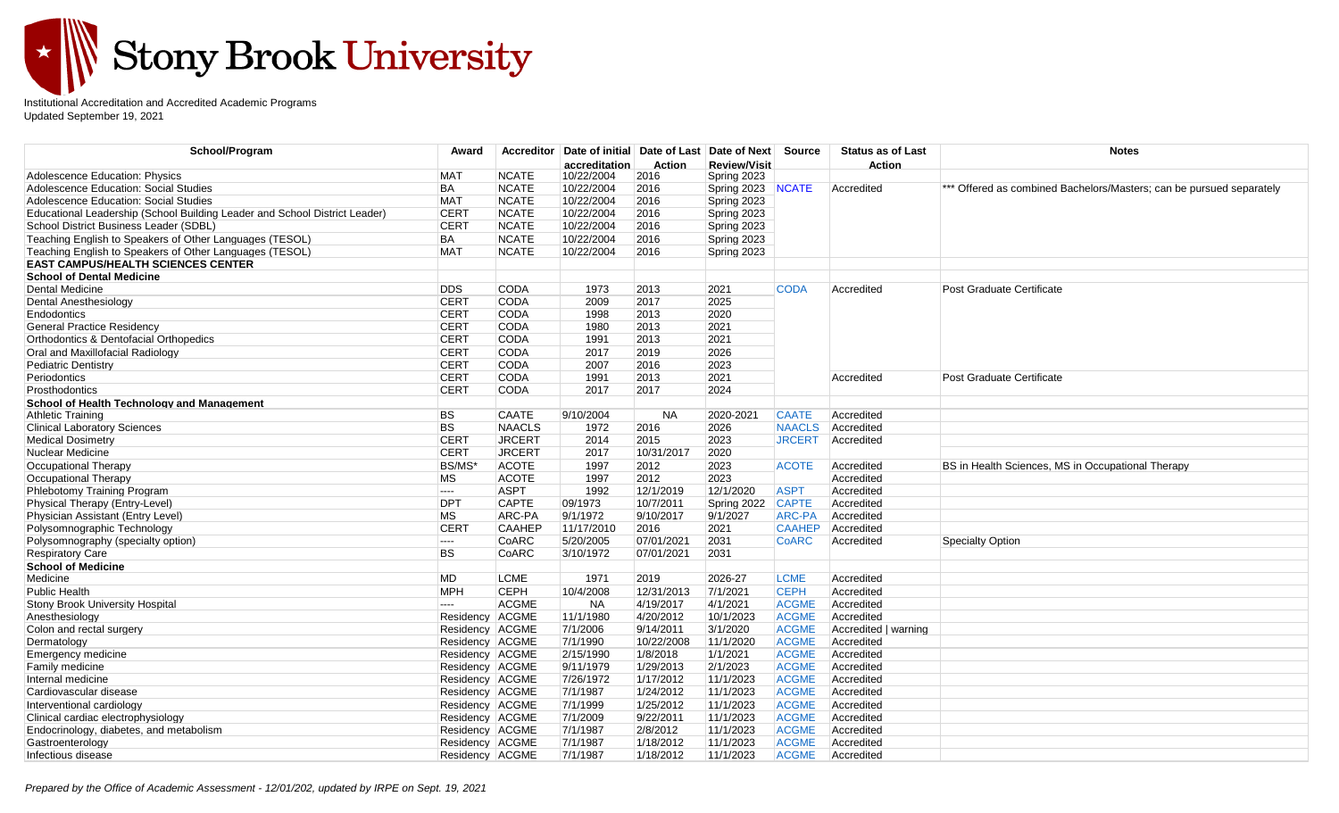

Institutional Accreditation and Accredited Academic Programs Updated September 19, 2021

| School/Program                                                             | Award           | <b>Accreditor</b> | Date of initial Date of Last |               | Date of Next Source |               | <b>Status as of Last</b> | <b>Notes</b>                                                         |
|----------------------------------------------------------------------------|-----------------|-------------------|------------------------------|---------------|---------------------|---------------|--------------------------|----------------------------------------------------------------------|
|                                                                            |                 |                   | accreditation                | <b>Action</b> | <b>Review/Visit</b> |               | Action                   |                                                                      |
| Adolescence Education: Physics                                             | <b>MAT</b>      | <b>NCATE</b>      | 10/22/2004                   | 2016          | Spring 2023         |               |                          |                                                                      |
| Adolescence Education: Social Studies                                      | BA              | <b>NCATE</b>      | 10/22/2004                   | 2016          | Spring 2023 NCATE   |               | Accredited               | *** Offered as combined Bachelors/Masters; can be pursued separately |
| Adolescence Education: Social Studies                                      | <b>MAT</b>      | <b>NCATE</b>      | 10/22/2004                   | 2016          | Spring 2023         |               |                          |                                                                      |
| Educational Leadership (School Building Leader and School District Leader) | <b>CERT</b>     | <b>NCATE</b>      | 10/22/2004                   | 2016          | Spring 2023         |               |                          |                                                                      |
| School District Business Leader (SDBL)                                     | <b>CERT</b>     | <b>NCATE</b>      | 10/22/2004                   | 2016          | Spring 2023         |               |                          |                                                                      |
| Teaching English to Speakers of Other Languages (TESOL)                    | <b>BA</b>       | <b>NCATE</b>      | 10/22/2004                   | 2016          | Spring 2023         |               |                          |                                                                      |
| Teaching English to Speakers of Other Languages (TESOL)                    | <b>MAT</b>      | <b>NCATE</b>      | 10/22/2004                   | 2016          | Spring 2023         |               |                          |                                                                      |
| <b>EAST CAMPUS/HEALTH SCIENCES CENTER</b>                                  |                 |                   |                              |               |                     |               |                          |                                                                      |
| <b>School of Dental Medicine</b>                                           |                 |                   |                              |               |                     |               |                          |                                                                      |
| <b>Dental Medicine</b>                                                     | <b>DDS</b>      | <b>CODA</b>       | 1973                         | 2013          | 2021                | <b>CODA</b>   | Accredited               | <b>Post Graduate Certificate</b>                                     |
| Dental Anesthesiology                                                      | <b>CERT</b>     | <b>CODA</b>       | 2009                         | 2017          | 2025                |               |                          |                                                                      |
| Endodontics                                                                | <b>CERT</b>     | <b>CODA</b>       | 1998                         | 2013          | 2020                |               |                          |                                                                      |
| <b>General Practice Residency</b>                                          | <b>CERT</b>     | CODA              | 1980                         | 2013          | 2021                |               |                          |                                                                      |
| Orthodontics & Dentofacial Orthopedics                                     | <b>CERT</b>     | <b>CODA</b>       | 1991                         | 2013          | 2021                |               |                          |                                                                      |
| Oral and Maxillofacial Radiology                                           | <b>CERT</b>     | <b>CODA</b>       | 2017                         | 2019          | 2026                |               |                          |                                                                      |
| Pediatric Dentistry                                                        | <b>CERT</b>     | <b>CODA</b>       | 2007                         | 2016          | 2023                |               |                          |                                                                      |
| Periodontics                                                               | <b>CERT</b>     | CODA              | 1991                         | 2013          | 2021                |               | Accredited               | Post Graduate Certificate                                            |
| <b>Prosthodontics</b>                                                      | <b>CERT</b>     | <b>CODA</b>       | 2017                         | 2017          | 2024                |               |                          |                                                                      |
| <b>School of Health Technology and Management</b>                          |                 |                   |                              |               |                     |               |                          |                                                                      |
| <b>Athletic Training</b>                                                   | <b>BS</b>       | <b>CAATE</b>      | 9/10/2004                    | <b>NA</b>     | 2020-2021           | <b>CAATE</b>  | Accredited               |                                                                      |
| <b>Clinical Laboratory Sciences</b>                                        | <b>BS</b>       | <b>NAACLS</b>     | 1972                         | 2016          | 2026                | <b>NAACLS</b> | Accredited               |                                                                      |
| <b>Medical Dosimetry</b>                                                   | <b>CERT</b>     | <b>JRCERT</b>     | 2014                         | 2015          | 2023                | <b>JRCERT</b> | Accredited               |                                                                      |
| Nuclear Medicine                                                           | <b>CERT</b>     | <b>JRCERT</b>     | 2017                         | 10/31/2017    | 2020                |               |                          |                                                                      |
| Occupational Therapy                                                       | BS/MS*          | <b>ACOTE</b>      | 1997                         | 2012          | 2023                | <b>ACOTE</b>  | Accredited               | BS in Health Sciences, MS in Occupational Therapy                    |
| Occupational Therapy                                                       | <b>MS</b>       | <b>ACOTE</b>      | 1997                         | 2012          | 2023                |               | Accredited               |                                                                      |
| Phlebotomy Training Program                                                | <b>COLOR</b>    | <b>ASPT</b>       | 1992                         | 12/1/2019     | 12/1/2020           | <b>ASPT</b>   | Accredited               |                                                                      |
| Physical Therapy (Entry-Level)                                             | <b>DPT</b>      | <b>CAPTE</b>      | 09/1973                      | 10/7/2011     | Spring 2022         | <b>CAPTE</b>  | Accredited               |                                                                      |
| Physician Assistant (Entry Level)                                          | <b>MS</b>       | ARC-PA            | 9/1/1972                     | 9/10/2017     | 9/1/2027            | <b>ARC-PA</b> | Accredited               |                                                                      |
| Polysomnographic Technology                                                | <b>CERT</b>     | <b>CAAHEP</b>     | 11/17/2010                   | 2016          | 2021                | <b>CAAHEP</b> | Accredited               |                                                                      |
| Polysomnography (specialty option)                                         | ----            | CoARC             | 5/20/2005                    | 07/01/2021    | 2031                | <b>CoARC</b>  | Accredited               | <b>Specialty Option</b>                                              |
| <b>Respiratory Care</b>                                                    | <b>BS</b>       | CoARC             | 3/10/1972                    | 07/01/2021    | 2031                |               |                          |                                                                      |
| <b>School of Medicine</b>                                                  |                 |                   |                              |               |                     |               |                          |                                                                      |
| Medicine                                                                   | <b>MD</b>       | <b>LCME</b>       | 1971                         | 2019          | 2026-27             | <b>LCME</b>   | Accredited               |                                                                      |
| Public Health                                                              | <b>MPH</b>      | <b>CEPH</b>       | 10/4/2008                    | 12/31/2013    | 7/1/2021            | <b>CEPH</b>   | Accredited               |                                                                      |
| Stony Brook University Hospital                                            | ----            | <b>ACGME</b>      | <b>NA</b>                    | 4/19/2017     | 4/1/2021            | <b>ACGME</b>  | Accredited               |                                                                      |
| Anesthesiology                                                             | Residency ACGME |                   | 11/1/1980                    | 4/20/2012     | 10/1/2023           | <b>ACGME</b>  | Accredited               |                                                                      |
| Colon and rectal surgery                                                   | Residency ACGME |                   | 7/1/2006                     | 9/14/2011     | 3/1/2020            | <b>ACGME</b>  | Accredited   warning     |                                                                      |
| Dermatology                                                                | Residency ACGME |                   | 7/1/1990                     | 10/22/2008    | 11/1/2020           | <b>ACGME</b>  | Accredited               |                                                                      |
| Emergency medicine                                                         | Residency ACGME |                   | 2/15/1990                    | 1/8/2018      | 1/1/2021            | <b>ACGME</b>  | Accredited               |                                                                      |
| Family medicine                                                            | Residency ACGME |                   | 9/11/1979                    | 1/29/2013     | 2/1/2023            | <b>ACGME</b>  | Accredited               |                                                                      |
| Internal medicine                                                          | Residency ACGME |                   | 7/26/1972                    | 1/17/2012     | 11/1/2023           | <b>ACGME</b>  | Accredited               |                                                                      |
| Cardiovascular disease                                                     | Residency ACGME |                   | 7/1/1987                     | 1/24/2012     | 11/1/2023           | <b>ACGME</b>  | Accredited               |                                                                      |
| Interventional cardiology                                                  | Residency ACGME |                   | 7/1/1999                     | 1/25/2012     | 11/1/2023           | <b>ACGME</b>  | Accredited               |                                                                      |
| Clinical cardiac electrophysiology                                         | Residency ACGME |                   | 7/1/2009                     | 9/22/2011     | 11/1/2023           | <b>ACGME</b>  | Accredited               |                                                                      |
| Endocrinology, diabetes, and metabolism                                    | Residency ACGME |                   | 7/1/1987                     | 2/8/2012      | 11/1/2023           | <b>ACGME</b>  | Accredited               |                                                                      |
| Gastroenterology                                                           | Residency ACGME |                   | 7/1/1987                     | 1/18/2012     | 11/1/2023           | <b>ACGME</b>  | Accredited               |                                                                      |
| Infectious disease                                                         | Residency ACGME |                   | 7/1/1987                     | 1/18/2012     | 11/1/2023           | <b>ACGME</b>  | Accredited               |                                                                      |